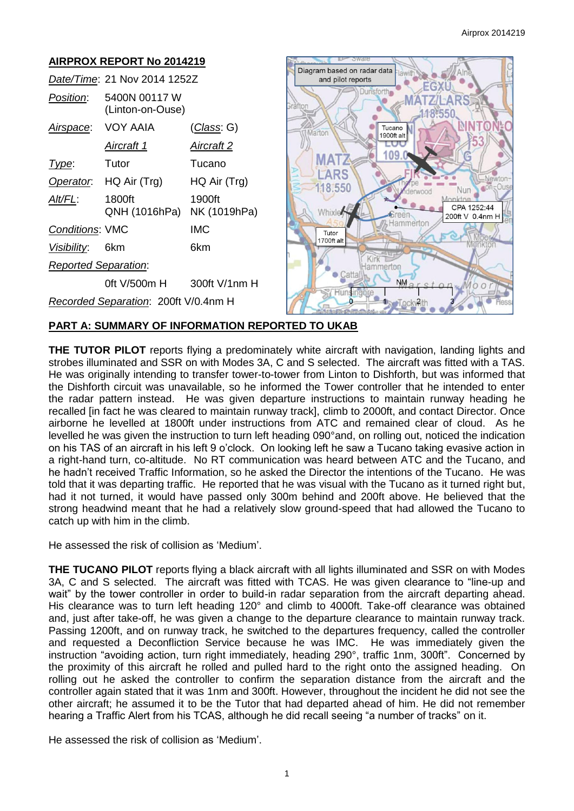

## **PART A: SUMMARY OF INFORMATION REPORTED TO UKAB**

**THE TUTOR PILOT** reports flying a predominately white aircraft with navigation, landing lights and strobes illuminated and SSR on with Modes 3A, C and S selected. The aircraft was fitted with a TAS. He was originally intending to transfer tower-to-tower from Linton to Dishforth, but was informed that the Dishforth circuit was unavailable, so he informed the Tower controller that he intended to enter the radar pattern instead. He was given departure instructions to maintain runway heading he recalled [in fact he was cleared to maintain runway track], climb to 2000ft, and contact Director. Once airborne he levelled at 1800ft under instructions from ATC and remained clear of cloud. As he levelled he was given the instruction to turn left heading 090°and, on rolling out, noticed the indication on his TAS of an aircraft in his left 9 o'clock. On looking left he saw a Tucano taking evasive action in a right-hand turn, co-altitude. No RT communication was heard between ATC and the Tucano, and he hadn't received Traffic Information, so he asked the Director the intentions of the Tucano. He was told that it was departing traffic. He reported that he was visual with the Tucano as it turned right but, had it not turned, it would have passed only 300m behind and 200ft above. He believed that the strong headwind meant that he had a relatively slow ground-speed that had allowed the Tucano to catch up with him in the climb.

He assessed the risk of collision as 'Medium'.

**THE TUCANO PILOT** reports flying a black aircraft with all lights illuminated and SSR on with Modes 3A, C and S selected. The aircraft was fitted with TCAS. He was given clearance to "line-up and wait" by the tower controller in order to build-in radar separation from the aircraft departing ahead. His clearance was to turn left heading 120° and climb to 4000ft. Take-off clearance was obtained and, just after take-off, he was given a change to the departure clearance to maintain runway track. Passing 1200ft, and on runway track, he switched to the departures frequency, called the controller and requested a Deconfliction Service because he was IMC. He was immediately given the instruction "avoiding action, turn right immediately, heading 290°, traffic 1nm, 300ft". Concerned by the proximity of this aircraft he rolled and pulled hard to the right onto the assigned heading. On rolling out he asked the controller to confirm the separation distance from the aircraft and the controller again stated that it was 1nm and 300ft. However, throughout the incident he did not see the other aircraft; he assumed it to be the Tutor that had departed ahead of him. He did not remember hearing a Traffic Alert from his TCAS, although he did recall seeing "a number of tracks" on it.

He assessed the risk of collision as 'Medium'.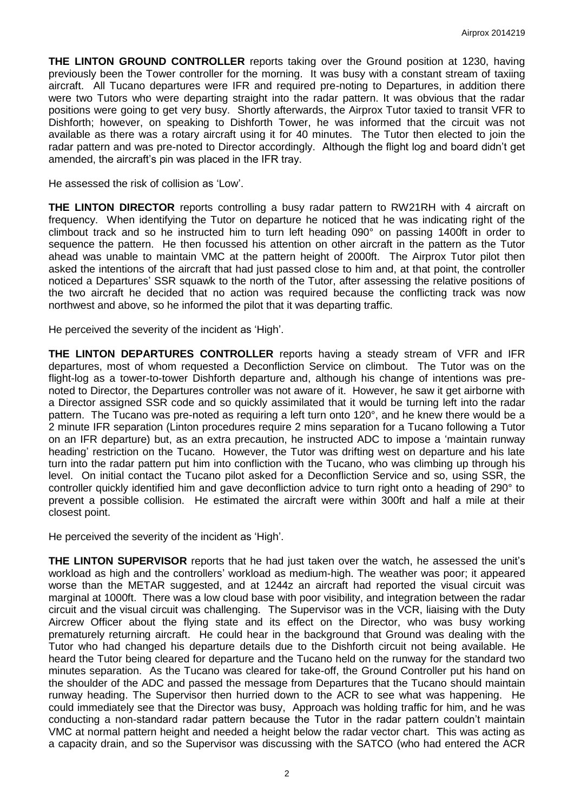**THE LINTON GROUND CONTROLLER** reports taking over the Ground position at 1230, having previously been the Tower controller for the morning. It was busy with a constant stream of taxiing aircraft. All Tucano departures were IFR and required pre-noting to Departures, in addition there were two Tutors who were departing straight into the radar pattern. It was obvious that the radar positions were going to get very busy. Shortly afterwards, the Airprox Tutor taxied to transit VFR to Dishforth; however, on speaking to Dishforth Tower, he was informed that the circuit was not available as there was a rotary aircraft using it for 40 minutes. The Tutor then elected to join the radar pattern and was pre-noted to Director accordingly. Although the flight log and board didn't get amended, the aircraft's pin was placed in the IFR tray.

He assessed the risk of collision as 'Low'.

**THE LINTON DIRECTOR** reports controlling a busy radar pattern to RW21RH with 4 aircraft on frequency. When identifying the Tutor on departure he noticed that he was indicating right of the climbout track and so he instructed him to turn left heading 090° on passing 1400ft in order to sequence the pattern. He then focussed his attention on other aircraft in the pattern as the Tutor ahead was unable to maintain VMC at the pattern height of 2000ft. The Airprox Tutor pilot then asked the intentions of the aircraft that had just passed close to him and, at that point, the controller noticed a Departures' SSR squawk to the north of the Tutor, after assessing the relative positions of the two aircraft he decided that no action was required because the conflicting track was now northwest and above, so he informed the pilot that it was departing traffic.

He perceived the severity of the incident as 'High'.

**THE LINTON DEPARTURES CONTROLLER** reports having a steady stream of VFR and IFR departures, most of whom requested a Deconfliction Service on climbout. The Tutor was on the flight-log as a tower-to-tower Dishforth departure and, although his change of intentions was prenoted to Director, the Departures controller was not aware of it. However, he saw it get airborne with a Director assigned SSR code and so quickly assimilated that it would be turning left into the radar pattern. The Tucano was pre-noted as requiring a left turn onto 120°, and he knew there would be a 2 minute IFR separation (Linton procedures require 2 mins separation for a Tucano following a Tutor on an IFR departure) but, as an extra precaution, he instructed ADC to impose a 'maintain runway heading' restriction on the Tucano. However, the Tutor was drifting west on departure and his late turn into the radar pattern put him into confliction with the Tucano, who was climbing up through his level. On initial contact the Tucano pilot asked for a Deconfliction Service and so, using SSR, the controller quickly identified him and gave deconfliction advice to turn right onto a heading of 290° to prevent a possible collision. He estimated the aircraft were within 300ft and half a mile at their closest point.

He perceived the severity of the incident as 'High'.

**THE LINTON SUPERVISOR** reports that he had just taken over the watch, he assessed the unit's workload as high and the controllers' workload as medium-high. The weather was poor; it appeared worse than the METAR suggested, and at 1244z an aircraft had reported the visual circuit was marginal at 1000ft. There was a low cloud base with poor visibility, and integration between the radar circuit and the visual circuit was challenging. The Supervisor was in the VCR, liaising with the Duty Aircrew Officer about the flying state and its effect on the Director, who was busy working prematurely returning aircraft. He could hear in the background that Ground was dealing with the Tutor who had changed his departure details due to the Dishforth circuit not being available. He heard the Tutor being cleared for departure and the Tucano held on the runway for the standard two minutes separation. As the Tucano was cleared for take-off, the Ground Controller put his hand on the shoulder of the ADC and passed the message from Departures that the Tucano should maintain runway heading. The Supervisor then hurried down to the ACR to see what was happening. He could immediately see that the Director was busy, Approach was holding traffic for him, and he was conducting a non-standard radar pattern because the Tutor in the radar pattern couldn't maintain VMC at normal pattern height and needed a height below the radar vector chart. This was acting as a capacity drain, and so the Supervisor was discussing with the SATCO (who had entered the ACR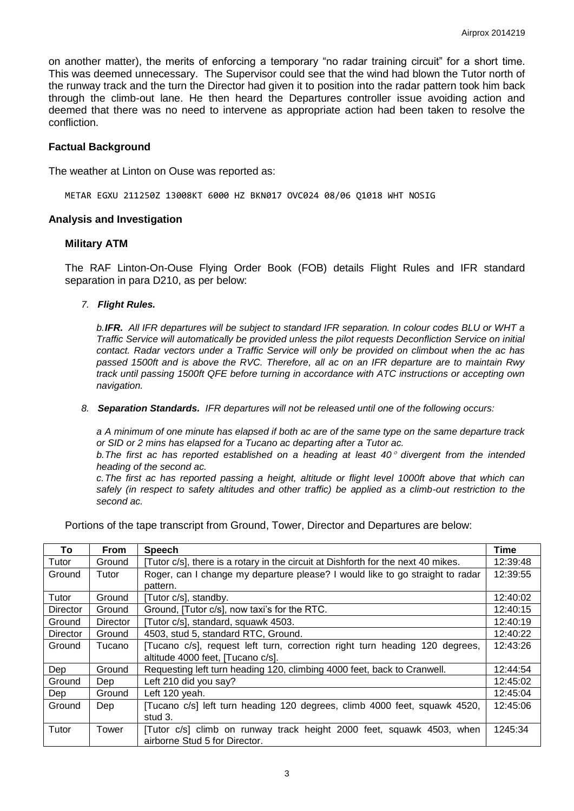on another matter), the merits of enforcing a temporary "no radar training circuit" for a short time. This was deemed unnecessary. The Supervisor could see that the wind had blown the Tutor north of the runway track and the turn the Director had given it to position into the radar pattern took him back through the climb-out lane. He then heard the Departures controller issue avoiding action and deemed that there was no need to intervene as appropriate action had been taken to resolve the confliction.

### **Factual Background**

The weather at Linton on Ouse was reported as:

METAR EGXU 211250Z 13008KT 6000 HZ BKN017 OVC024 08/06 Q1018 WHT NOSIG

#### **Analysis and Investigation**

#### **Military ATM**

The RAF Linton-On-Ouse Flying Order Book (FOB) details Flight Rules and IFR standard separation in para D210, as per below:

*7. Flight Rules.* 

*b.IFR. All IFR departures will be subject to standard IFR separation. In colour codes BLU or WHT a Traffic Service will automatically be provided unless the pilot requests Deconfliction Service on initial contact. Radar vectors under a Traffic Service will only be provided on climbout when the ac has passed 1500ft and is above the RVC. Therefore, all ac on an IFR departure are to maintain Rwy track until passing 1500ft QFE before turning in accordance with ATC instructions or accepting own navigation.* 

*8. Separation Standards. IFR departures will not be released until one of the following occurs:* 

*a A minimum of one minute has elapsed if both ac are of the same type on the same departure track or SID or 2 mins has elapsed for a Tucano ac departing after a Tutor ac.* 

*b. The first ac has reported established on a heading at least 40 divergent from the intended heading of the second ac.* 

*c. The first ac has reported passing a height, altitude or flight level 1000ft above that which can safely (in respect to safety altitudes and other traffic) be applied as a climb-out restriction to the second ac.* 

Portions of the tape transcript from Ground, Tower, Director and Departures are below:

| To              | <b>From</b> | <b>Speech</b>                                                                     | Time     |
|-----------------|-------------|-----------------------------------------------------------------------------------|----------|
| Tutor           | Ground      | [Tutor c/s], there is a rotary in the circuit at Dishforth for the next 40 mikes. | 12:39:48 |
| Ground          | Tutor       | Roger, can I change my departure please? I would like to go straight to radar     | 12:39:55 |
|                 |             | pattern.                                                                          |          |
| Tutor           | Ground      | [Tutor c/s], standby.                                                             | 12:40:02 |
| Director        | Ground      | Ground, [Tutor c/s], now taxi's for the RTC.                                      | 12:40:15 |
| Ground          | Director    | [Tutor c/s], standard, squawk 4503.                                               | 12:40:19 |
| <b>Director</b> | Ground      | 4503, stud 5, standard RTC, Ground.                                               | 12:40:22 |
| Ground          | Tucano      | [Tucano c/s], request left turn, correction right turn heading 120 degrees,       | 12:43:26 |
|                 |             | altitude 4000 feet, [Tucano c/s].                                                 |          |
| Dep             | Ground      | Requesting left turn heading 120, climbing 4000 feet, back to Cranwell.           | 12:44:54 |
| Ground          | Dep         | Left 210 did you say?                                                             | 12:45:02 |
| Dep             | Ground      | Left 120 yeah.                                                                    | 12:45:04 |
| Ground          | Dep         | [Tucano c/s] left turn heading 120 degrees, climb 4000 feet, squawk 4520,         | 12:45:06 |
|                 |             | stud 3.                                                                           |          |
| Tutor           | Tower       | [Tutor c/s] climb on runway track height 2000 feet, squawk 4503, when             | 1245:34  |
|                 |             | airborne Stud 5 for Director.                                                     |          |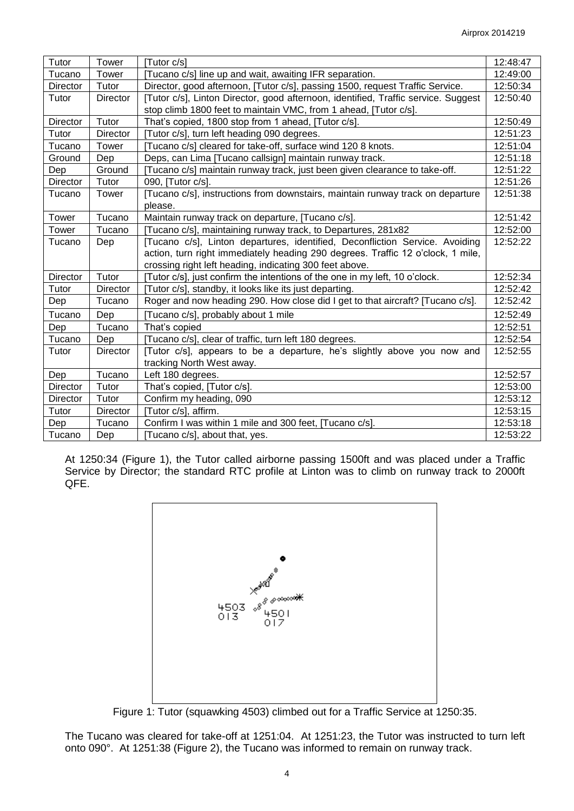| Tutor           | Tower    | [Tutor c/s]                                                                        | 12:48:47 |
|-----------------|----------|------------------------------------------------------------------------------------|----------|
| Tucano          | Tower    | [Tucano c/s] line up and wait, awaiting IFR separation.                            | 12:49:00 |
| Director        | Tutor    | Director, good afternoon, [Tutor c/s], passing 1500, request Traffic Service.      | 12:50:34 |
| Tutor           | Director | [Tutor c/s], Linton Director, good afternoon, identified, Traffic service. Suggest | 12:50:40 |
|                 |          | stop climb 1800 feet to maintain VMC, from 1 ahead, [Tutor c/s].                   |          |
| Director        | Tutor    | That's copied, 1800 stop from 1 ahead, [Tutor c/s].                                | 12:50:49 |
| Tutor           | Director | [Tutor c/s], turn left heading 090 degrees.                                        | 12:51:23 |
| Tucano          | Tower    | [Tucano c/s] cleared for take-off, surface wind 120 8 knots.                       | 12:51:04 |
| Ground          | Dep      | Deps, can Lima [Tucano callsign] maintain runway track.                            | 12:51:18 |
| Dep             | Ground   | [Tucano c/s] maintain runway track, just been given clearance to take-off.         | 12:51:22 |
| Director        | Tutor    | 090, [Tutor c/s].                                                                  | 12:51:26 |
| Tucano          | Tower    | [Tucano c/s], instructions from downstairs, maintain runway track on departure     | 12:51:38 |
|                 |          | please.                                                                            |          |
| Tower           | Tucano   | Maintain runway track on departure, [Tucano c/s].                                  | 12:51:42 |
| Tower           | Tucano   | [Tucano c/s], maintaining runway track, to Departures, 281x82                      | 12:52:00 |
| Tucano          | Dep      | [Tucano c/s], Linton departures, identified, Deconfliction Service. Avoiding       | 12:52:22 |
|                 |          | action, turn right immediately heading 290 degrees. Traffic 12 o'clock, 1 mile,    |          |
|                 |          | crossing right left heading, indicating 300 feet above.                            |          |
| <b>Director</b> | Tutor    | [Tutor c/s], just confirm the intentions of the one in my left, 10 o'clock.        | 12:52:34 |
| Tutor           | Director | [Tutor c/s], standby, it looks like its just departing.                            | 12:52:42 |
| Dep             | Tucano   | Roger and now heading 290. How close did I get to that aircraft? [Tucano c/s].     | 12:52:42 |
| Tucano          | Dep      | [Tucano c/s], probably about 1 mile                                                | 12:52:49 |
| Dep             | Tucano   | That's copied                                                                      | 12:52:51 |
| Tucano          | Dep      | [Tucano c/s], clear of traffic, turn left 180 degrees.                             | 12:52:54 |
| Tutor           | Director | [Tutor c/s], appears to be a departure, he's slightly above you now and            | 12:52:55 |
|                 |          | tracking North West away.                                                          |          |
| Dep             | Tucano   | Left 180 degrees.                                                                  | 12:52:57 |
| Director        | Tutor    | That's copied, [Tutor c/s].                                                        | 12:53:00 |
| Director        | Tutor    | Confirm my heading, 090                                                            | 12:53:12 |
| Tutor           | Director | [Tutor c/s], affirm.                                                               | 12:53:15 |
| Dep             | Tucano   | Confirm I was within 1 mile and 300 feet, [Tucano c/s].                            | 12:53:18 |
| Tucano          | Dep      | [Tucano c/s], about that, yes.                                                     | 12:53:22 |

At 1250:34 (Figure 1), the Tutor called airborne passing 1500ft and was placed under a Traffic Service by Director; the standard RTC profile at Linton was to climb on runway track to 2000ft QFE.



Figure 1: Tutor (squawking 4503) climbed out for a Traffic Service at 1250:35.

The Tucano was cleared for take-off at 1251:04. At 1251:23, the Tutor was instructed to turn left onto 090°. At 1251:38 (Figure 2), the Tucano was informed to remain on runway track.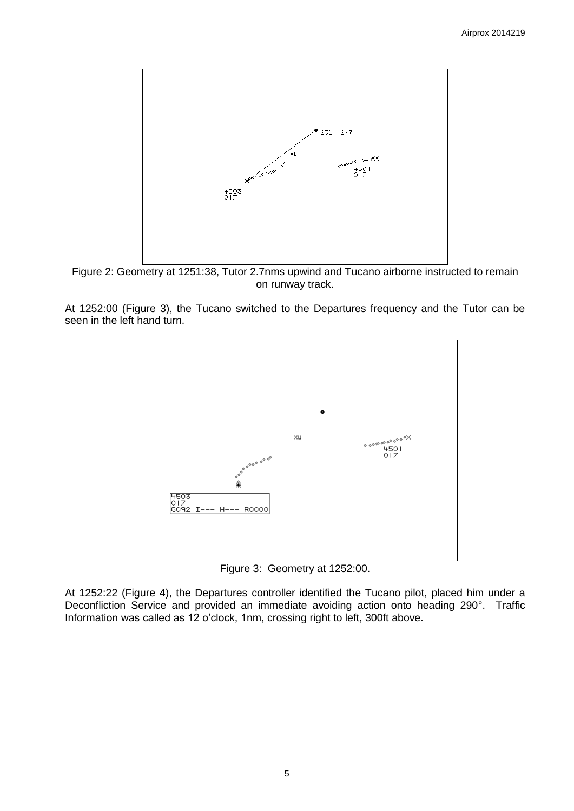

Figure 2: Geometry at 1251:38, Tutor 2.7nms upwind and Tucano airborne instructed to remain on runway track.

At 1252:00 (Figure 3), the Tucano switched to the Departures frequency and the Tutor can be seen in the left hand turn.



Figure 3: Geometry at 1252:00.

At 1252:22 (Figure 4), the Departures controller identified the Tucano pilot, placed him under a Deconfliction Service and provided an immediate avoiding action onto heading 290°. Traffic Information was called as 12 o'clock, 1nm, crossing right to left, 300ft above.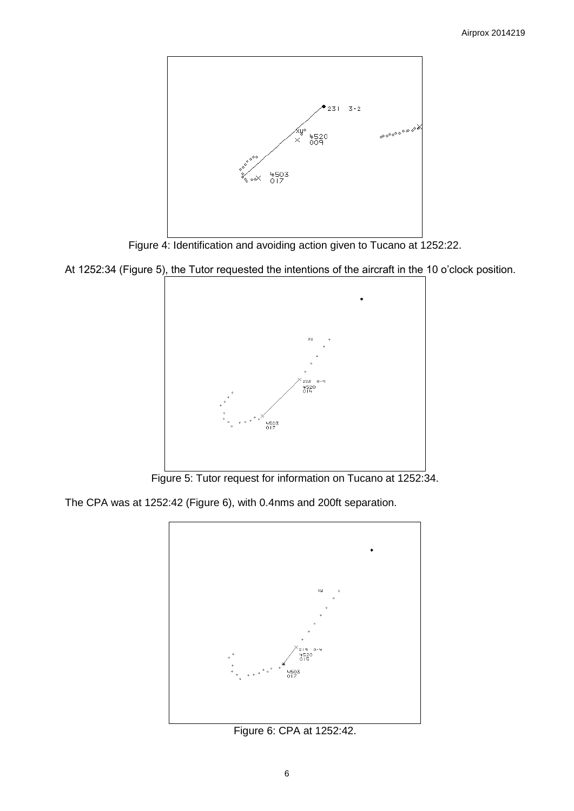

Figure 4: Identification and avoiding action given to Tucano at 1252:22.

At 1252:34 (Figure 5), the Tutor requested the intentions of the aircraft in the 10 o'clock position.



Figure 5: Tutor request for information on Tucano at 1252:34.

The CPA was at 1252:42 (Figure 6), with 0.4nms and 200ft separation.



Figure 6: CPA at 1252:42.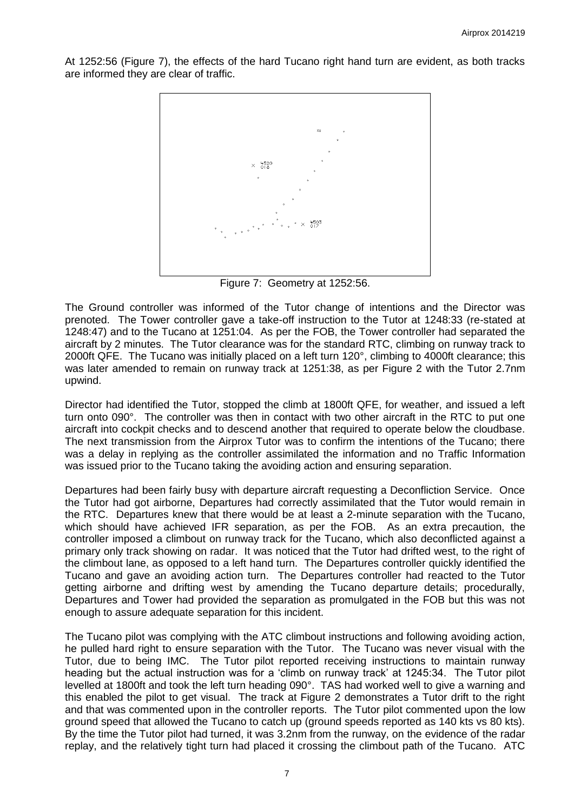At 1252:56 (Figure 7), the effects of the hard Tucano right hand turn are evident, as both tracks are informed they are clear of traffic.



Figure 7: Geometry at 1252:56.

The Ground controller was informed of the Tutor change of intentions and the Director was prenoted. The Tower controller gave a take-off instruction to the Tutor at 1248:33 (re-stated at 1248:47) and to the Tucano at 1251:04. As per the FOB, the Tower controller had separated the aircraft by 2 minutes. The Tutor clearance was for the standard RTC, climbing on runway track to 2000ft QFE. The Tucano was initially placed on a left turn 120°, climbing to 4000ft clearance; this was later amended to remain on runway track at 1251:38, as per Figure 2 with the Tutor 2.7nm upwind.

Director had identified the Tutor, stopped the climb at 1800ft QFE, for weather, and issued a left turn onto 090°. The controller was then in contact with two other aircraft in the RTC to put one aircraft into cockpit checks and to descend another that required to operate below the cloudbase. The next transmission from the Airprox Tutor was to confirm the intentions of the Tucano; there was a delay in replying as the controller assimilated the information and no Traffic Information was issued prior to the Tucano taking the avoiding action and ensuring separation.

Departures had been fairly busy with departure aircraft requesting a Deconfliction Service. Once the Tutor had got airborne, Departures had correctly assimilated that the Tutor would remain in the RTC. Departures knew that there would be at least a 2-minute separation with the Tucano, which should have achieved IFR separation, as per the FOB. As an extra precaution, the controller imposed a climbout on runway track for the Tucano, which also deconflicted against a primary only track showing on radar. It was noticed that the Tutor had drifted west, to the right of the climbout lane, as opposed to a left hand turn. The Departures controller quickly identified the Tucano and gave an avoiding action turn. The Departures controller had reacted to the Tutor getting airborne and drifting west by amending the Tucano departure details; procedurally, Departures and Tower had provided the separation as promulgated in the FOB but this was not enough to assure adequate separation for this incident.

The Tucano pilot was complying with the ATC climbout instructions and following avoiding action, he pulled hard right to ensure separation with the Tutor. The Tucano was never visual with the Tutor, due to being IMC. The Tutor pilot reported receiving instructions to maintain runway heading but the actual instruction was for a 'climb on runway track' at 1245:34. The Tutor pilot levelled at 1800ft and took the left turn heading 090°. TAS had worked well to give a warning and this enabled the pilot to get visual. The track at Figure 2 demonstrates a Tutor drift to the right and that was commented upon in the controller reports. The Tutor pilot commented upon the low ground speed that allowed the Tucano to catch up (ground speeds reported as 140 kts vs 80 kts). By the time the Tutor pilot had turned, it was 3.2nm from the runway, on the evidence of the radar replay, and the relatively tight turn had placed it crossing the climbout path of the Tucano. ATC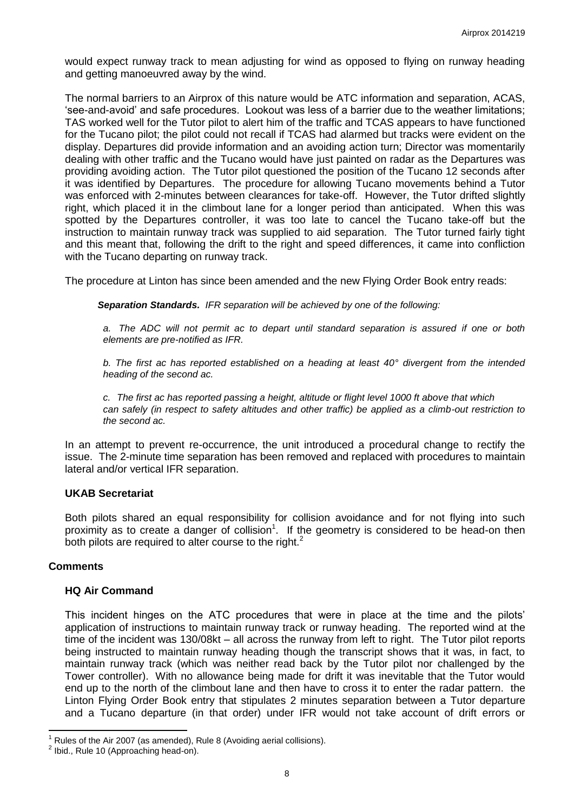would expect runway track to mean adjusting for wind as opposed to flying on runway heading and getting manoeuvred away by the wind.

The normal barriers to an Airprox of this nature would be ATC information and separation, ACAS, 'see-and-avoid' and safe procedures. Lookout was less of a barrier due to the weather limitations; TAS worked well for the Tutor pilot to alert him of the traffic and TCAS appears to have functioned for the Tucano pilot; the pilot could not recall if TCAS had alarmed but tracks were evident on the display. Departures did provide information and an avoiding action turn; Director was momentarily dealing with other traffic and the Tucano would have just painted on radar as the Departures was providing avoiding action. The Tutor pilot questioned the position of the Tucano 12 seconds after it was identified by Departures. The procedure for allowing Tucano movements behind a Tutor was enforced with 2-minutes between clearances for take-off. However, the Tutor drifted slightly right, which placed it in the climbout lane for a longer period than anticipated. When this was spotted by the Departures controller, it was too late to cancel the Tucano take-off but the instruction to maintain runway track was supplied to aid separation. The Tutor turned fairly tight and this meant that, following the drift to the right and speed differences, it came into confliction with the Tucano departing on runway track.

The procedure at Linton has since been amended and the new Flying Order Book entry reads:

*Separation Standards. IFR separation will be achieved by one of the following:* 

*a. The ADC will not permit ac to depart until standard separation is assured if one or both elements are pre-notified as IFR.* 

*b. The first ac has reported established on a heading at least 40° divergent from the intended heading of the second ac.* 

*c. The first ac has reported passing a height, altitude or flight level 1000 ft above that which can safely (in respect to safety altitudes and other traffic) be applied as a climb-out restriction to the second ac.* 

In an attempt to prevent re-occurrence, the unit introduced a procedural change to rectify the issue. The 2-minute time separation has been removed and replaced with procedures to maintain lateral and/or vertical IFR separation.

## **UKAB Secretariat**

Both pilots shared an equal responsibility for collision avoidance and for not flying into such proximity as to create a danger of collision<sup>1</sup>. If the geometry is considered to be head-on then both pilots are required to alter course to the right. $<sup>2</sup>$ </sup>

## **Comments**

 $\overline{\phantom{a}}$ 

## **HQ Air Command**

This incident hinges on the ATC procedures that were in place at the time and the pilots' application of instructions to maintain runway track or runway heading. The reported wind at the time of the incident was 130/08kt – all across the runway from left to right. The Tutor pilot reports being instructed to maintain runway heading though the transcript shows that it was, in fact, to maintain runway track (which was neither read back by the Tutor pilot nor challenged by the Tower controller). With no allowance being made for drift it was inevitable that the Tutor would end up to the north of the climbout lane and then have to cross it to enter the radar pattern. the Linton Flying Order Book entry that stipulates 2 minutes separation between a Tutor departure and a Tucano departure (in that order) under IFR would not take account of drift errors or

<sup>1</sup> Rules of the Air 2007 (as amended), Rule 8 (Avoiding aerial collisions).

 $2$  Ibid., Rule 10 (Approaching head-on).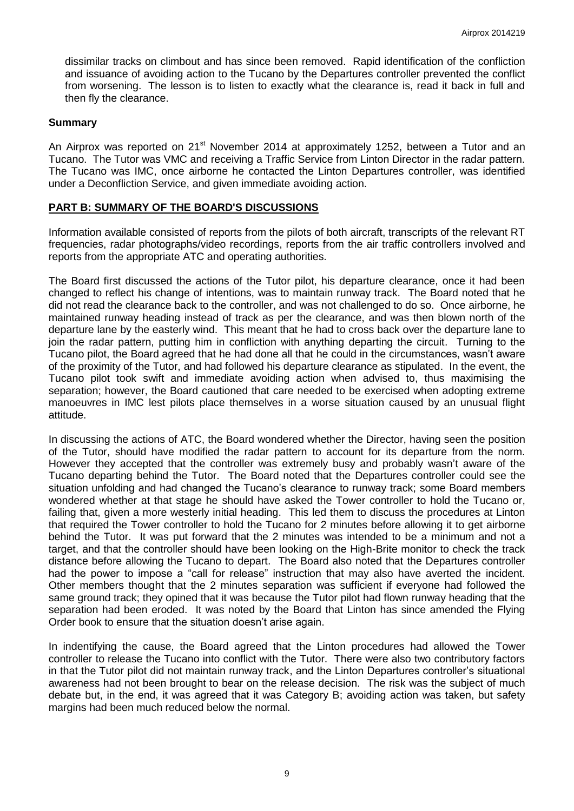dissimilar tracks on climbout and has since been removed. Rapid identification of the confliction and issuance of avoiding action to the Tucano by the Departures controller prevented the conflict from worsening. The lesson is to listen to exactly what the clearance is, read it back in full and then fly the clearance.

#### **Summary**

An Airprox was reported on 21<sup>st</sup> November 2014 at approximately 1252, between a Tutor and an Tucano. The Tutor was VMC and receiving a Traffic Service from Linton Director in the radar pattern. The Tucano was IMC, once airborne he contacted the Linton Departures controller, was identified under a Deconfliction Service, and given immediate avoiding action.

#### **PART B: SUMMARY OF THE BOARD'S DISCUSSIONS**

Information available consisted of reports from the pilots of both aircraft, transcripts of the relevant RT frequencies, radar photographs/video recordings, reports from the air traffic controllers involved and reports from the appropriate ATC and operating authorities.

The Board first discussed the actions of the Tutor pilot, his departure clearance, once it had been changed to reflect his change of intentions, was to maintain runway track. The Board noted that he did not read the clearance back to the controller, and was not challenged to do so. Once airborne, he maintained runway heading instead of track as per the clearance, and was then blown north of the departure lane by the easterly wind. This meant that he had to cross back over the departure lane to join the radar pattern, putting him in confliction with anything departing the circuit. Turning to the Tucano pilot, the Board agreed that he had done all that he could in the circumstances, wasn't aware of the proximity of the Tutor, and had followed his departure clearance as stipulated. In the event, the Tucano pilot took swift and immediate avoiding action when advised to, thus maximising the separation; however, the Board cautioned that care needed to be exercised when adopting extreme manoeuvres in IMC lest pilots place themselves in a worse situation caused by an unusual flight attitude.

In discussing the actions of ATC, the Board wondered whether the Director, having seen the position of the Tutor, should have modified the radar pattern to account for its departure from the norm. However they accepted that the controller was extremely busy and probably wasn't aware of the Tucano departing behind the Tutor. The Board noted that the Departures controller could see the situation unfolding and had changed the Tucano's clearance to runway track; some Board members wondered whether at that stage he should have asked the Tower controller to hold the Tucano or, failing that, given a more westerly initial heading. This led them to discuss the procedures at Linton that required the Tower controller to hold the Tucano for 2 minutes before allowing it to get airborne behind the Tutor. It was put forward that the 2 minutes was intended to be a minimum and not a target, and that the controller should have been looking on the High-Brite monitor to check the track distance before allowing the Tucano to depart. The Board also noted that the Departures controller had the power to impose a "call for release" instruction that may also have averted the incident. Other members thought that the 2 minutes separation was sufficient if everyone had followed the same ground track; they opined that it was because the Tutor pilot had flown runway heading that the separation had been eroded. It was noted by the Board that Linton has since amended the Flying Order book to ensure that the situation doesn't arise again.

In indentifying the cause, the Board agreed that the Linton procedures had allowed the Tower controller to release the Tucano into conflict with the Tutor. There were also two contributory factors in that the Tutor pilot did not maintain runway track, and the Linton Departures controller's situational awareness had not been brought to bear on the release decision. The risk was the subject of much debate but, in the end, it was agreed that it was Category B; avoiding action was taken, but safety margins had been much reduced below the normal.